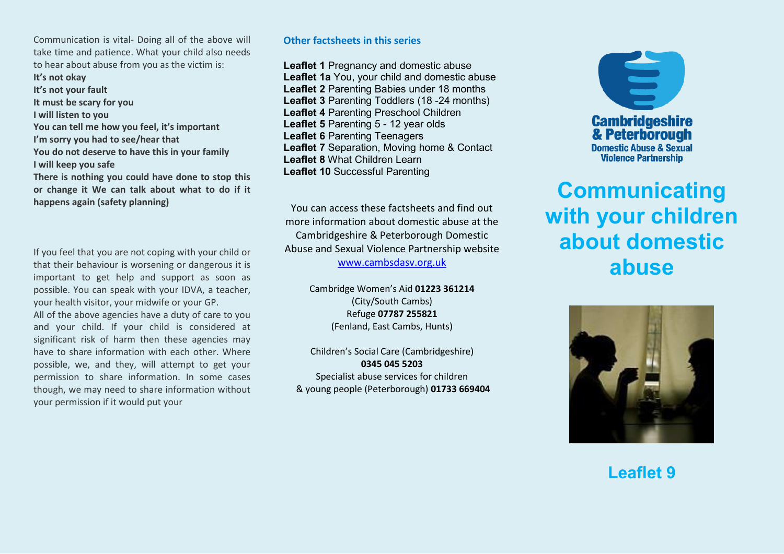Communication is vital- Doing all of the above will take time and patience. What your child also needs to hear about abuse from you as the victim is:

**It's not okay It's not your fault It must be scary for you I will listen to you**  You can tell me how you feel, it's important I'm sorry you had to see/hear that **You do not deserve to have this in your family I will keep you safe There is nothing you could have done to stop this or change it We can talk about what to do if it** 

**happens again (safety planning)**

If you feel that you are not coping with your child or that their behaviour is worsening or dangerous it is important to get help and support as soon as possible. You can speak with your IDVA, a teacher, your health visitor, your midwife or your GP.

All of the above agencies have a duty of care to you and your child. If your child is considered at significant risk of harm then these agencies may have to share information with each other. Where possible, we, and they, will attempt to get your permission to share information. In some cases though, we may need to share information without your permission if it would put your

## **Other factsheets in this series**

**Leaflet 1** Pregnancy and domestic abuse **Leaflet 1a** You, your child and domestic abuse **Leaflet 2** Parenting Babies under 18 months **Leaflet 3** Parenting Toddlers (18 -24 months) **Leaflet 4** Parenting Preschool Children **Leaflet 5** Parenting 5 - 12 year olds **Leaflet 6** Parenting Teenagers **Leaflet 7** Separation, Moving home & Contact **Leaflet 8** What Children Learn **Leaflet 10** Successful Parenting

You can access these factsheets and find out more information about domestic abuse at the Cambridgeshire & Peterborough Domestic Abuse and Sexual Violence Partnership website [www.cambsdasv.org.uk](http://www.cambsdasv.org.uk/) 

> Cambridge Women's Aid 01223 361214 (City/South Cambs) Refuge **07787 255821**  (Fenland, East Cambs, Hunts)

Children's Social Care (Cambridgeshire) **0345 045 5203**  Specialist abuse services for children & young people (Peterborough) **01733 669404** 



# **Communicating with your children about domestic abuse**



**Leaflet 9**